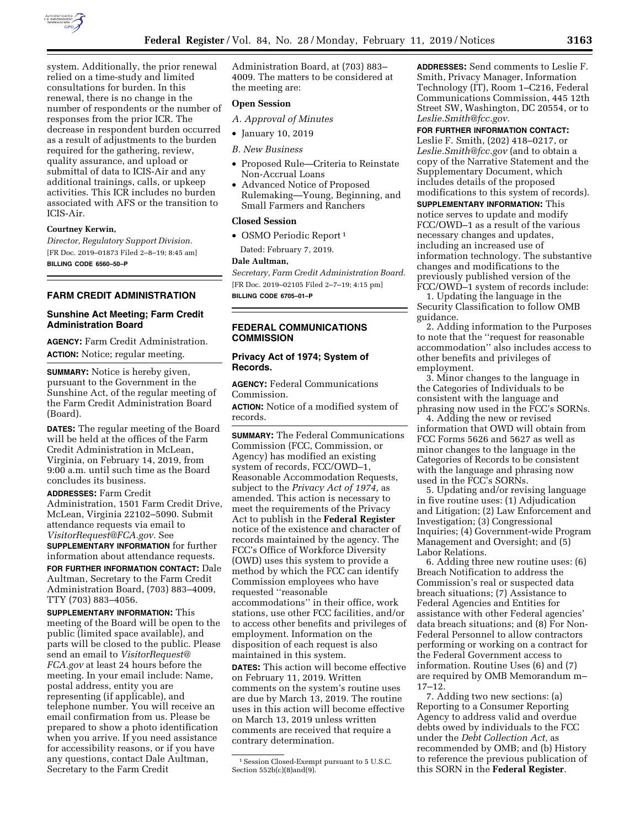

system. Additionally, the prior renewal relied on a time-study and limited consultations for burden. In this renewal, there is no change in the number of respondents or the number of responses from the prior ICR. The decrease in respondent burden occurred as a result of adjustments to the burden required for the gathering, review, quality assurance, and upload or submittal of data to ICIS-Air and any additional trainings, calls, or upkeep activities. This ICR includes no burden associated with AFS or the transition to ICIS-Air.

# **Courtney Kerwin,**

*Director, Regulatory Support Division.*  [FR Doc. 2019–01873 Filed 2–8–19; 8:45 am] **BILLING CODE 6560–50–P** 

# **FARM CREDIT ADMINISTRATION**

# **Sunshine Act Meeting; Farm Credit Administration Board**

**AGENCY:** Farm Credit Administration. **ACTION:** Notice; regular meeting.

**SUMMARY:** Notice is hereby given, pursuant to the Government in the Sunshine Act, of the regular meeting of the Farm Credit Administration Board (Board).

**DATES:** The regular meeting of the Board will be held at the offices of the Farm Credit Administration in McLean, Virginia, on February 14, 2019, from 9:00 a.m. until such time as the Board concludes its business.

**ADDRESSES:** Farm Credit Administration, 1501 Farm Credit Drive, McLean, Virginia 22102–5090. Submit attendance requests via email to *VisitorRequest@FCA.gov.* See **SUPPLEMENTARY INFORMATION** for further

information about attendance requests.

**FOR FURTHER INFORMATION CONTACT:** Dale Aultman, Secretary to the Farm Credit Administration Board, (703) 883–4009, TTY (703) 883–4056.

**SUPPLEMENTARY INFORMATION:** This meeting of the Board will be open to the public (limited space available), and parts will be closed to the public. Please send an email to *VisitorRequest@ FCA.gov* at least 24 hours before the meeting. In your email include: Name, postal address, entity you are representing (if applicable), and telephone number. You will receive an email confirmation from us. Please be prepared to show a photo identification when you arrive. If you need assistance for accessibility reasons, or if you have any questions, contact Dale Aultman, Secretary to the Farm Credit

Administration Board, at (703) 883– 4009. The matters to be considered at the meeting are:

# **Open Session**

*A. Approval of Minutes* 

# • January 10, 2019

## *B. New Business*

- Proposed Rule—Criteria to Reinstate Non-Accrual Loans
- Advanced Notice of Proposed Rulemaking—Young, Beginning, and Small Farmers and Ranchers

## **Closed Session**

• OSMO Periodic Report<sup>1</sup>

Dated: February 7, 2019.

#### **Dale Aultman,**

*Secretary, Farm Credit Administration Board.*  [FR Doc. 2019–02105 Filed 2–7–19; 4:15 pm] **BILLING CODE 6705–01–P** 

# **FEDERAL COMMUNICATIONS COMMISSION**

# **Privacy Act of 1974; System of Records.**

**AGENCY:** Federal Communications Commission.

**ACTION:** Notice of a modified system of records.

**SUMMARY:** The Federal Communications Commission (FCC, Commission, or Agency) has modified an existing system of records, FCC/OWD–1, Reasonable Accommodation Requests, subject to the *Privacy Act of 1974,* as amended. This action is necessary to meet the requirements of the Privacy Act to publish in the **Federal Register**  notice of the existence and character of records maintained by the agency. The FCC's Office of Workforce Diversity (OWD) uses this system to provide a method by which the FCC can identify Commission employees who have requested ''reasonable accommodations'' in their office, work stations, use other FCC facilities, and/or to access other benefits and privileges of employment. Information on the disposition of each request is also maintained in this system.

**DATES:** This action will become effective on February 11, 2019. Written comments on the system's routine uses are due by March 13, 2019. The routine uses in this action will become effective on March 13, 2019 unless written comments are received that require a contrary determination.

**ADDRESSES:** Send comments to Leslie F. Smith, Privacy Manager, Information Technology (IT), Room 1–C216, Federal Communications Commission, 445 12th Street SW, Washington, DC 20554, or to *Leslie.Smith@fcc.gov.* 

# **FOR FURTHER INFORMATION CONTACT:**

Leslie F. Smith, (202) 418–0217, or *Leslie.Smith@fcc.gov* (and to obtain a copy of the Narrative Statement and the Supplementary Document, which includes details of the proposed modifications to this system of records).

**SUPPLEMENTARY INFORMATION:** This notice serves to update and modify

FCC/OWD–1 as a result of the various necessary changes and updates, including an increased use of information technology. The substantive changes and modifications to the previously published version of the FCC/OWD–1 system of records include:

1. Updating the language in the Security Classification to follow OMB guidance.

2. Adding information to the Purposes to note that the ''request for reasonable accommodation'' also includes access to other benefits and privileges of employment.

3. Minor changes to the language in the Categories of Individuals to be consistent with the language and phrasing now used in the FCC's SORNs.

4. Adding the new or revised information that OWD will obtain from FCC Forms 5626 and 5627 as well as minor changes to the language in the Categories of Records to be consistent with the language and phrasing now used in the FCC's SORNs.

5. Updating and/or revising language in five routine uses: (1) Adjudication and Litigation; (2) Law Enforcement and Investigation; (3) Congressional Inquiries; (4) Government-wide Program Management and Oversight; and (5) Labor Relations.

6. Adding three new routine uses: (6) Breach Notification to address the Commission's real or suspected data breach situations; (7) Assistance to Federal Agencies and Entities for assistance with other Federal agencies' data breach situations; and (8) For Non-Federal Personnel to allow contractors performing or working on a contract for the Federal Government access to information. Routine Uses (6) and (7) are required by OMB Memorandum m– 17–12.

7. Adding two new sections: (a) Reporting to a Consumer Reporting Agency to address valid and overdue debts owed by individuals to the FCC under the *Debt Collection Act,* as recommended by OMB; and (b) History to reference the previous publication of this SORN in the **Federal Register**.

<sup>1</sup>Session Closed-Exempt pursuant to 5 U.S.C. Section  $552b(c)(8)$ and $(9)$ .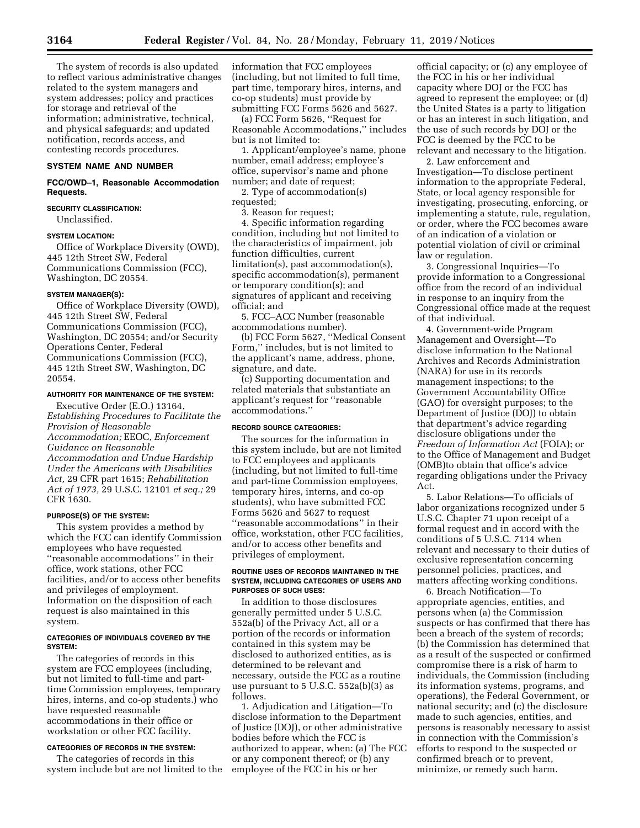The system of records is also updated to reflect various administrative changes related to the system managers and system addresses; policy and practices for storage and retrieval of the information; administrative, technical, and physical safeguards; and updated notification, records access, and contesting records procedures.

# **SYSTEM NAME AND NUMBER**

## **FCC/OWD–1, Reasonable Accommodation Requests.**

**SECURITY CLASSIFICATION:**  Unclassified.

## **SYSTEM LOCATION:**

Office of Workplace Diversity (OWD), 445 12th Street SW, Federal Communications Commission (FCC), Washington, DC 20554.

#### **SYSTEM MANAGER(S):**

Office of Workplace Diversity (OWD), 445 12th Street SW, Federal Communications Commission (FCC), Washington, DC 20554; and/or Security Operations Center, Federal Communications Commission (FCC), 445 12th Street SW, Washington, DC 20554.

#### **AUTHORITY FOR MAINTENANCE OF THE SYSTEM:**

Executive Order (E.O.) 13164, *Establishing Procedures to Facilitate the Provision of Reasonable Accommodation;* EEOC, *Enforcement Guidance on Reasonable Accommodation and Undue Hardship Under the Americans with Disabilities Act,* 29 CFR part 1615; *Rehabilitation Act of 1973,* 29 U.S.C. 12101 *et seq.;* 29 CFR 1630.

### **PURPOSE(S) OF THE SYSTEM:**

This system provides a method by which the FCC can identify Commission employees who have requested ''reasonable accommodations'' in their office, work stations, other FCC facilities, and/or to access other benefits and privileges of employment. Information on the disposition of each request is also maintained in this system.

#### **CATEGORIES OF INDIVIDUALS COVERED BY THE SYSTEM:**

The categories of records in this system are FCC employees (including, but not limited to full-time and parttime Commission employees, temporary hires, interns, and co-op students.) who have requested reasonable accommodations in their office or workstation or other FCC facility.

## **CATEGORIES OF RECORDS IN THE SYSTEM:**

The categories of records in this system include but are not limited to the information that FCC employees (including, but not limited to full time, part time, temporary hires, interns, and co-op students) must provide by submitting FCC Forms 5626 and 5627.

(a) FCC Form 5626, ''Request for Reasonable Accommodations,'' includes but is not limited to:

1. Applicant/employee's name, phone number, email address; employee's office, supervisor's name and phone number; and date of request;

2. Type of accommodation(s) requested;

3. Reason for request;

4. Specific information regarding condition, including but not limited to the characteristics of impairment, job function difficulties, current limitation(s), past accommodation(s), specific accommodation(s), permanent or temporary condition(s); and signatures of applicant and receiving official; and

5. FCC–ACC Number (reasonable accommodations number).

(b) FCC Form 5627, ''Medical Consent Form,'' includes, but is not limited to the applicant's name, address, phone, signature, and date.

(c) Supporting documentation and related materials that substantiate an applicant's request for ''reasonable accommodations.''

#### **RECORD SOURCE CATEGORIES:**

The sources for the information in this system include, but are not limited to FCC employees and applicants (including, but not limited to full-time and part-time Commission employees, temporary hires, interns, and co-op students), who have submitted FCC Forms 5626 and 5627 to request ''reasonable accommodations'' in their office, workstation, other FCC facilities, and/or to access other benefits and privileges of employment.

#### **ROUTINE USES OF RECORDS MAINTAINED IN THE SYSTEM, INCLUDING CATEGORIES OF USERS AND PURPOSES OF SUCH USES:**

In addition to those disclosures generally permitted under 5 U.S.C. 552a(b) of the Privacy Act, all or a portion of the records or information contained in this system may be disclosed to authorized entities, as is determined to be relevant and necessary, outside the FCC as a routine use pursuant to 5 U.S.C. 552a(b)(3) as follows.

1. Adjudication and Litigation—To disclose information to the Department of Justice (DOJ), or other administrative bodies before which the FCC is authorized to appear, when: (a) The FCC or any component thereof; or (b) any employee of the FCC in his or her

official capacity; or (c) any employee of the FCC in his or her individual capacity where DOJ or the FCC has agreed to represent the employee; or (d) the United States is a party to litigation or has an interest in such litigation, and the use of such records by DOJ or the FCC is deemed by the FCC to be relevant and necessary to the litigation.

2. Law enforcement and Investigation—To disclose pertinent information to the appropriate Federal, State, or local agency responsible for investigating, prosecuting, enforcing, or implementing a statute, rule, regulation, or order, where the FCC becomes aware of an indication of a violation or potential violation of civil or criminal law or regulation.

3. Congressional Inquiries—To provide information to a Congressional office from the record of an individual in response to an inquiry from the Congressional office made at the request of that individual.

4. Government-wide Program Management and Oversight—To disclose information to the National Archives and Records Administration (NARA) for use in its records management inspections; to the Government Accountability Office (GAO) for oversight purposes; to the Department of Justice (DOJ) to obtain that department's advice regarding disclosure obligations under the *Freedom of Information Act* (FOIA); or to the Office of Management and Budget (OMB)to obtain that office's advice regarding obligations under the Privacy Act.

5. Labor Relations—To officials of labor organizations recognized under 5 U.S.C. Chapter 71 upon receipt of a formal request and in accord with the conditions of 5 U.S.C. 7114 when relevant and necessary to their duties of exclusive representation concerning personnel policies, practices, and matters affecting working conditions.

6. Breach Notification—To appropriate agencies, entities, and persons when (a) the Commission suspects or has confirmed that there has been a breach of the system of records; (b) the Commission has determined that as a result of the suspected or confirmed compromise there is a risk of harm to individuals, the Commission (including its information systems, programs, and operations), the Federal Government, or national security; and (c) the disclosure made to such agencies, entities, and persons is reasonably necessary to assist in connection with the Commission's efforts to respond to the suspected or confirmed breach or to prevent, minimize, or remedy such harm.